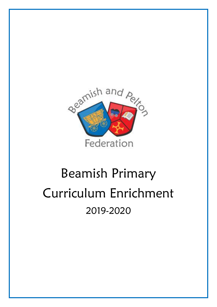

# Beamish Primary Curriculum Enrichment 2019-2020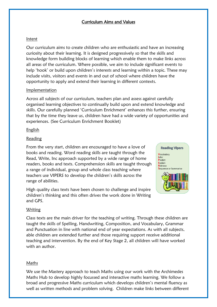# Curriculum Aims and Values

## Intent

Our curriculum aims to create children who are enthusiastic and have an increasing curiosity about their learning. It is designed progressively so that the skills and knowledge form building blocks of learning which enable them to make links across all areas of the curriculum. Where possible, we aim to include significant events to help 'hook' or build upon children's interests and learning within a topic. These may include visits, visitors and events in and out of school where children have the opportunity to apply and extend their learning in different contexts.

## Implementation

Across all subjects of our curriculum, teachers plan and assess against carefully organised learning objectives to continually build upon and extend knowledge and skills. Our carefully planned 'Curriculum Enrichment' enhances this further, ensuring that by the time they leave us, children have had a wide variety of opportunities and experiences. (See Curriculum Enrichment Booklet)

## **English**

## Reading

From the very start, children are encouraged to have a love of books and reading. Word reading skills are taught through the Read, Write, Inc approach supported by a wide range of home readers, books and texts. Comprehension skills are taught through a range of individual, group and whole class teaching where teachers use VIPERS to develop the children's skills across the range of abilities.

High quality class texts have been chosen to challenge and inspire children's thinking and this often drives the work done in Writing and GPS.



## **Writing**

Class texts are the main driver for the teaching of writing. Through these children are taught the skills of Spelling, Handwriting, Composition, and Vocabulary, Grammar and Punctuation in line with national end of year expectations. As with all subjects, able children are extended further and those requiring support receive additional teaching and intervention. By the end of Key Stage 2, all children will have worked with an author.

## Maths

We use the Mastery approach to teach Maths using our work with the Archimedes Maths Hub to develop highly focussed and interactive maths learning. We follow a broad and progressive Maths curriculum which develops children's mental fluency as well as written methods and problem solving. Children make links between different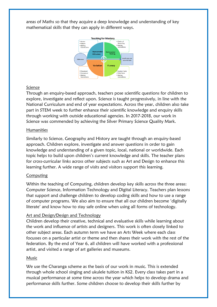areas of Maths so that they acquire a deep knowledge and understanding of key mathematical skills that they can apply in different ways.



## Science

Through an enquiry-based approach, teachers pose scientific questions for children to explore, investigate and reflect upon. Science is taught progressively, in line with the National Curriculum and end of year expectations. Across the year, children also take part in STEM week to further enhance their scientific knowledge and enquiry skills through working with outside educational agencies. In 2017-2018, our work in Science was commended by achieving the Silver Primary Science Quality Mark.

## Humanities

Similarly to Science, Geography and History are taught through an enquiry-based approach. Children explore, investigate and answer questions in order to gain knowledge and understanding of a given topic, local, national or worldwide. Each topic helps to build upon children's current knowledge and skills. The teacher plans for cross-curricular links across other subjects such as Art and Design to enhance this learning further. A wide range of visits and visitors support this learning.

## Computing

Within the teaching of Computing, children develop key skills across the three areas: Computer Science, Information Technology and Digital Literacy. Teachers plan lessons that support and challenge children to develop coding skills and how to use a range of computer programs. We also aim to ensure that all our children become 'digitally literate' and know how to stay safe online when using all forms of technology.

## Art and Design/Design and Technology

Children develop their creative, technical and evaluative skills while learning about the work and influence of artists and designers. This work is often closely linked to other subject areas. Each autumn term we have an Arts Week where each class focusses on a particular artist or theme and then shares their work with the rest of the federation. By the end of Year 6, all children will have worked with a professional artist, and visited a range of art galleries and museums.

## Music

We use the Charanga scheme as the basis of our work in music. This is extended through whole school singing and ukulele tuition in KS2. Every class takes part in a musical performance at some time across the year which helps to develop drama and performance skills further. Some children choose to develop their skills further by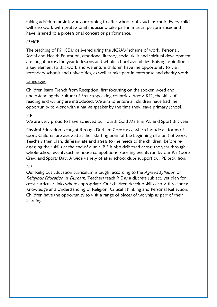taking addition music lessons or coming to after school clubs such as choir. Every child will also work with professional musicians, take part in musical performances and have listened to a professional concert or performance.

## PSHCE

The teaching of PSHCE is delivered using the JIGSAW scheme of work. Personal, Social and Health Education, emotional literacy, social skills and spiritual development are taught across the year in lessons and whole-school assemblies. Raising aspiration is a key element to this work and we ensure children have the opportunity to visit secondary schools and universities, as well as take part in enterprise and charity work.

## Languages

Children learn French from Reception, first focussing on the spoken word and understanding the culture of French speaking countries. Across KS2, the skills of reading and writing are introduced. We aim to ensure all children have had the opportunity to work with a native speaker by the time they leave primary school.

## P.E

We are very proud to have achieved our fourth Gold Mark in P.E and Sport this year.

Physical Education is taught through Durham Core tasks, which include all forms of sport. Children are assessed at their starting point at the beginning of a unit of work. Teachers then plan, differentiate and assess to the needs of the children, before reassessing their skills at the end of a unit. P.E is also delivered across the year through whole-school events such as house competitions, sporting events run by our P.E Sports Crew and Sports Day. A wide variety of after school clubs support our PE provision.

## R.E

Our Religious Education curriculum is taught according to the *Agreed Syllabus* for Religious Education in Durham. Teachers teach R.E as a discrete subject, yet plan for cross-curricular links where appropriate. Our children develop skills across three areas: Knowledge and Understanding of Religion, Critical Thinking and Personal Reflection. Children have the opportunity to visit a range of places of worship as part of their learning.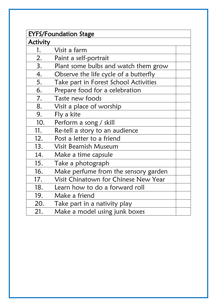| <b>EYFS/Foundation Stage</b> |                                       |  |
|------------------------------|---------------------------------------|--|
| <b>Activity</b>              |                                       |  |
| 1.                           | Visit a farm                          |  |
| 2.                           | Paint a self-portrait                 |  |
| 3.                           | Plant some bulbs and watch them grow  |  |
| 4.                           | Observe the life cycle of a butterfly |  |
| 5.                           | Take part in Forest School Activities |  |
| 6.                           | Prepare food for a celebration        |  |
| 7.                           | Taste new foods                       |  |
| 8.                           | Visit a place of worship              |  |
| 9.                           | Fly a kite                            |  |
| 10.                          | Perform a song / skill                |  |
| 11.                          | Re-tell a story to an audience        |  |
| 12.                          | Post a letter to a friend             |  |
| 13.                          | Visit Beamish Museum                  |  |
| 14.                          | Make a time capsule                   |  |
| 15.                          | Take a photograph                     |  |
| 16.                          | Make perfume from the sensory garden  |  |
| 17.                          | Visit Chinatown for Chinese New Year  |  |
| 18.                          | Learn how to do a forward roll        |  |
| 19.                          | Make a friend                         |  |
| 20.                          | Take part in a nativity play          |  |
| 21.                          | Make a model using junk boxes         |  |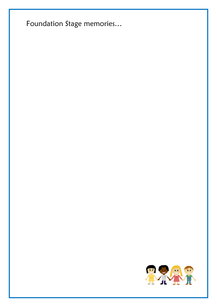Foundation Stage memories...

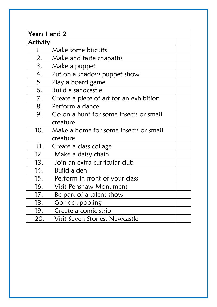|          | Years 1 and 2                           |  |  |
|----------|-----------------------------------------|--|--|
| Activity |                                         |  |  |
| 1.       | Make some biscuits                      |  |  |
| 2.       | Make and taste chapattis                |  |  |
| 3.       | Make a puppet                           |  |  |
| 4.       | Put on a shadow puppet show             |  |  |
| 5.       | Play a board game                       |  |  |
| 6.       | Build a sandcastle                      |  |  |
| 7.       | Create a piece of art for an exhibition |  |  |
| 8.       | Perform a dance                         |  |  |
| 9.       | Go on a hunt for some insects or small  |  |  |
|          | creature                                |  |  |
| 10.      | Make a home for some insects or small   |  |  |
|          | creature                                |  |  |
| 11.      | Create a class collage                  |  |  |
| 12.      | Make a daisy chain                      |  |  |
| 13.      | Join an extra-curricular club           |  |  |
| 14.      | Build a den                             |  |  |
| 15.      | Perform in front of your class          |  |  |
| 16.      | <b>Visit Penshaw Monument</b>           |  |  |
| 17.      | Be part of a talent show                |  |  |
| 18.      | Go rock-pooling                         |  |  |
| 19.      | Create a comic strip                    |  |  |
| 20.      | Visit Seven Stories, Newcastle          |  |  |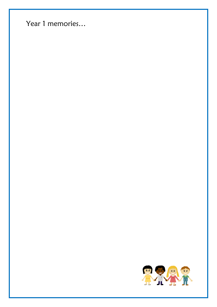Year 1 memories...

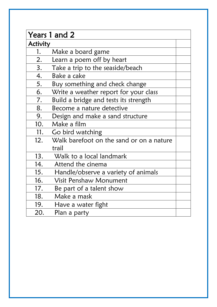| Years 1 and 2 |                                          |  |
|---------------|------------------------------------------|--|
| Activity      |                                          |  |
| 1.            | Make a board game                        |  |
| 2.            | Learn a poem off by heart                |  |
| 3.            | Take a trip to the seaside/beach         |  |
| 4.            | Bake a cake                              |  |
| 5.            | Buy something and check change           |  |
| 6.            | Write a weather report for your class    |  |
| 7.            | Build a bridge and tests its strength    |  |
| 8.            | Become a nature detective                |  |
| 9.            | Design and make a sand structure         |  |
| 10.           | Make a film                              |  |
| 11.           | Go bird watching                         |  |
| 12.           | Walk barefoot on the sand or on a nature |  |
|               | trail                                    |  |
| 13.           | Walk to a local landmark                 |  |
| 14.           | Attend the cinema                        |  |
| 15.           | Handle/observe a variety of animals      |  |
| 16.           | <b>Visit Penshaw Monument</b>            |  |
| 17.           | Be part of a talent show                 |  |
| 18.           | Make a mask                              |  |
| 19.           | Have a water fight                       |  |
| 20.           | Plan a party                             |  |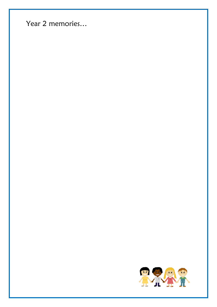Year 2 memories...

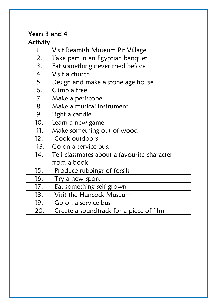| Years 3 and 4   |                                             |  |
|-----------------|---------------------------------------------|--|
| <b>Activity</b> |                                             |  |
| 1.              | Visit Beamish Museum Pit Village            |  |
| 2.              | Take part in an Egyptian banquet            |  |
| 3.              | Eat something never tried before            |  |
| 4.              | Visit a church                              |  |
| 5.              | Design and make a stone age house           |  |
| 6.              | Climb a tree                                |  |
| 7.              | Make a periscope                            |  |
| 8.              | Make a musical instrument                   |  |
| 9.              | Light a candle                              |  |
| 10.             | Learn a new game                            |  |
| 11.             | Make something out of wood                  |  |
| 12.             | Cook outdoors                               |  |
| 13.             | Go on a service bus.                        |  |
| 14.             | Tell classmates about a favourite character |  |
|                 | from a book                                 |  |
| 15.             | Produce rubbings of fossils                 |  |
| 16.             | Try a new sport                             |  |
| 17.             | Eat something self-grown                    |  |
| 18.             | Visit the Hancock Museum                    |  |
| 19.             | Go on a service bus                         |  |
| 20.             | Create a soundtrack for a piece of film     |  |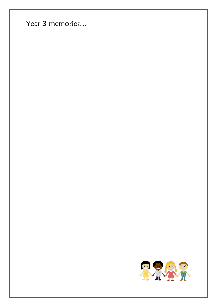Year 3 memories...

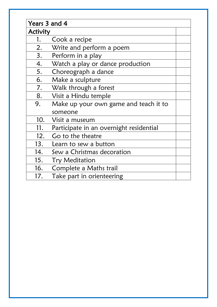| Years 3 and 4 |                                         |  |
|---------------|-----------------------------------------|--|
| Activity      |                                         |  |
| 1.            | Cook a recipe                           |  |
| 2.            | Write and perform a poem                |  |
| 3.            | Perform in a play                       |  |
| 4.            | Watch a play or dance production        |  |
| 5.            | Choreograph a dance                     |  |
| 6.            | Make a sculpture                        |  |
| 7.            | Walk through a forest                   |  |
| 8.            | Visit a Hindu temple                    |  |
| 9.            | Make up your own game and teach it to   |  |
|               | someone                                 |  |
| 10.           | Visit a museum                          |  |
| 11.           | Participate in an overnight residential |  |
| 12.           | Go to the theatre                       |  |
| 13.           | Learn to sew a button                   |  |
| 14.           | Sew a Christmas decoration              |  |
| 15.           | <b>Try Meditation</b>                   |  |
| 16.           | Complete a Maths trail                  |  |
| 17.           | Take part in orienteering               |  |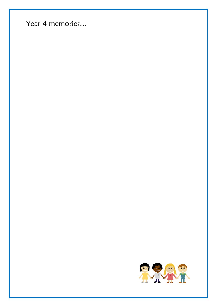Year 4 memories...

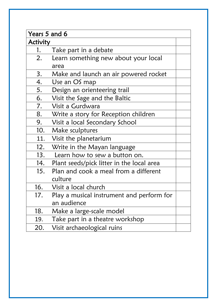| Years 5 and 6 |                                           |  |
|---------------|-------------------------------------------|--|
| Activity      |                                           |  |
| 1.            | Take part in a debate                     |  |
| 2.            | Learn something new about your local      |  |
|               | area                                      |  |
| 3.            | Make and launch an air powered rocket     |  |
| 4.            | Use an OS map                             |  |
| 5.            | Design an orienteering trail              |  |
| 6.            | Visit the Sage and the Baltic             |  |
| 7.            | Visit a Gurdwara                          |  |
| 8.            | Write a story for Reception children      |  |
| 9.            | Visit a local Secondary School            |  |
| 10.           | Make sculptures                           |  |
| 11.           | Visit the planetarium                     |  |
| 12.           | Write in the Mayan language               |  |
| 13.           | Learn how to sew a button on.             |  |
| 14.           | Plant seeds/pick litter in the local area |  |
| 15.           | Plan and cook a meal from a different     |  |
|               | culture                                   |  |
| 16.           | Visit a local church                      |  |
| 17.           | Play a musical instrument and perform for |  |
|               | an audience                               |  |
| 18.           | Make a large-scale model                  |  |
| 19.           | Take part in a theatre workshop           |  |
| 20.           | Visit archaeological ruins                |  |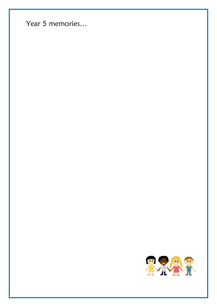Year 5 memories...

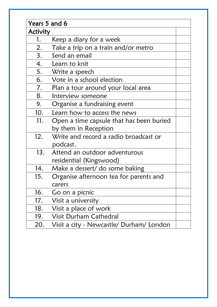| Years 5 and 6 |                                          |  |
|---------------|------------------------------------------|--|
| Activity      |                                          |  |
| 1.            | Keep a diary for a week                  |  |
| 2.            | Take a trip on a train and/or metro      |  |
| 3.            | Send an email                            |  |
| 4.            | Learn to knit                            |  |
| 5.            | Write a speech                           |  |
| 6.            | Vote in a school election                |  |
| 7.            | Plan a tour around your local area       |  |
| 8.            | Interview someone                        |  |
| 9.            | Organise a fundraising event             |  |
| 10.           | Learn how to access the news             |  |
| 11.           | Open a time capsule that has been buried |  |
|               | by them in Reception                     |  |
| 12.           | Write and record a radio broadcast or    |  |
|               | podcast.                                 |  |
| 13.           | Attend an outdoor adventurous            |  |
|               | residential (Kingswood)                  |  |
| 14.           | Make a dessert/ do some baking           |  |
| 15.           | Organise afternoon tea for parents and   |  |
|               | carers                                   |  |
| 16.           | Go on a picnic                           |  |
| 17.           | Visit a university                       |  |
| 18.           | Visit a place of work                    |  |
| 19.           | Visit Durham Cathedral                   |  |
| 20.           | Visit a city - Newcastle/ Durham/ London |  |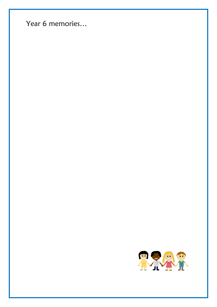Year 6 memories...